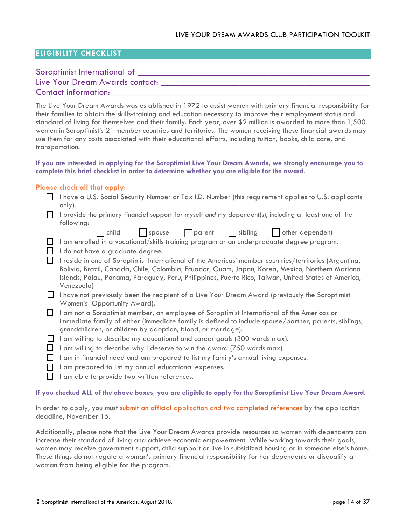## **ELIGIBILITY CHECKLIST**

## Soroptimist International of  $\Box$

# Live Your Dream Awards contact: \_\_\_\_\_\_\_\_\_\_\_ Contact information:

The Live Your Dream Awards was established in 1972 to assist women with primary financial responsibility for their families to obtain the skills-training and education necessary to improve their employment status and standard of living for themselves and their family. Each year, over \$2 million is awarded to more than 1,500 women in Soroptimist's 21 member countries and territories. The women receiving these financial awards may use them for any costs associated with their educational efforts, including tuition, books, child care, and transportation.

#### **If you are interested in applying for the Soroptimist Live Your Dream Awards, we strongly encourage you to complete this brief checklist in order to determine whether you are eligible for the award.**

#### **Please check all that apply:**

- I have a U.S. Social Security Number or Tax I.D. Number (this requirement applies to U.S. applicants only).
- I provide the primary financial support for myself *and* my dependent(s), including at least one of the following:

|  | child | spouse | $\log$ parent | $\Box$ sibling | other dependent |
|--|-------|--------|---------------|----------------|-----------------|
|--|-------|--------|---------------|----------------|-----------------|

I am enrolled in a vocational/skills training program or an undergraduate degree program.

- I do not have a graduate degree.
- I reside in one of Soroptimist International of the Americas' member countries/territories (Argentina, Bolivia, Brazil, Canada, Chile, Colombia, Ecuador, Guam, Japan, Korea, Mexico, Northern Mariana Islands, Palau, Panama, Paraguay, Peru, Philippines, Puerto Rico, Taiwan, United States of America, Venezuela)
- $\Box$  I have not previously been the recipient of a Live Your Dream Award (previously the Soroptimist Women's Opportunity Award).
- I am not a Soroptimist member, an employee of Soroptimist International of the Americas or immediate family of either (immediate family is defined to include spouse/partner, parents, siblings, grandchildren, or children by adoption, blood, or marriage).
- $\Box$  I am willing to describe my educational and career goals (300 words max).
- I am willing to describe why I deserve to win the award (750 words max).
- $\Box$  I am in financial need and am prepared to list my family's annual living expenses.
- $\Box$  I am prepared to list my annual educational expenses.
- $\Box$  I am able to provide two written references.

### **If you checked ALL of the above boxes, you are eligible to apply for the Soroptimist Live Your Dream Award.**

In order to apply, you must [submit an official application and two completed references](http://www.soroptimist.org/awards/apply.html) by the application deadline, November 15.

Additionally, please note that the Live Your Dream Awards provide resources so women with dependents can increase their standard of living and achieve economic empowerment. While working towards their goals, women may receive government support, child support or live in subsidized housing or in someone else's home. These things do not negate a woman's primary financial responsibility for her dependents or disqualify a woman from being eligible for the program.